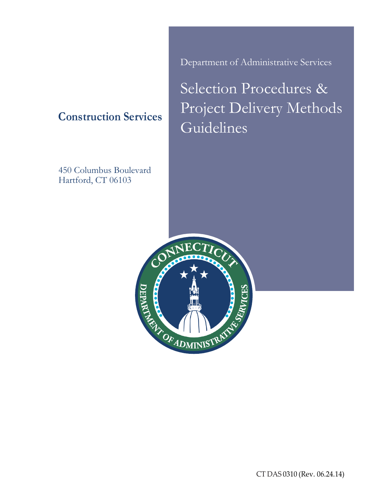**Construction Services**

450 Columbus Boulevard Hartford, CT 06103

Department of Administrative Services

Selection Procedures & Project Delivery Methods Guidelines

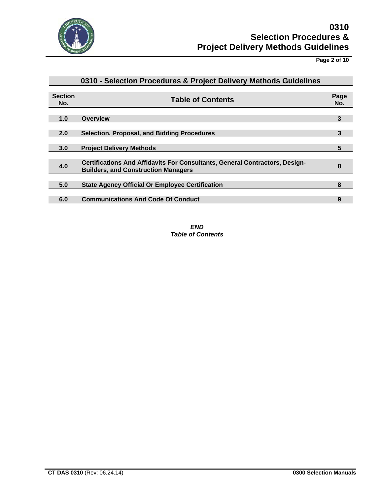

**Page 2 of 10**

|                       | 0310 - Selection Procedures & Project Delivery Methods Guidelines                                                                |   |  |  |
|-----------------------|----------------------------------------------------------------------------------------------------------------------------------|---|--|--|
| <b>Section</b><br>No. | <b>Table of Contents</b>                                                                                                         |   |  |  |
| 1.0                   | <b>Overview</b>                                                                                                                  | 3 |  |  |
| 2.0                   | <b>Selection, Proposal, and Bidding Procedures</b>                                                                               | 3 |  |  |
| 3.0                   | <b>Project Delivery Methods</b>                                                                                                  | 5 |  |  |
| 4.0                   | <b>Certifications And Affidavits For Consultants, General Contractors, Design-</b><br><b>Builders, and Construction Managers</b> | 8 |  |  |
| 5.0                   | <b>State Agency Official Or Employee Certification</b>                                                                           | 8 |  |  |
| 6.0                   | <b>Communications And Code Of Conduct</b>                                                                                        | 9 |  |  |

*END Table of Contents*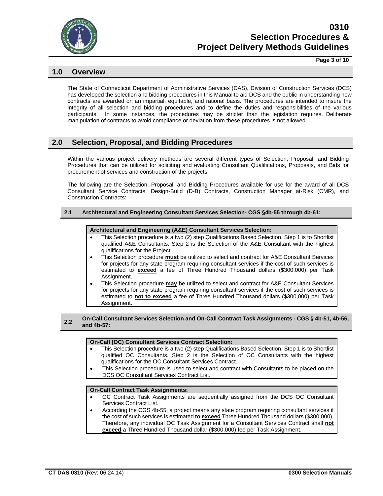

**Page 3 of 10**

# **1.0 Overview**

The State of Connecticut Department of Administrative Services (DAS), Division of Construction Services (DCS) has developed the selection and bidding procedures in this Manual to aid DCS and the public in understanding how contracts are awarded on an impartial, equitable, and rational basis. The procedures are intended to insure the integrity of all selection and bidding procedures and to define the duties and responsibilities of the various participants. In some instances, the procedures may be stricter than the legislation requires. Deliberate manipulation of contracts to avoid compliance or deviation from these procedures is not allowed.

# **2.0 Selection, Proposal, and Bidding Procedures**

Within the various project delivery methods are several different types of Selection, Proposal, and Bidding Procedures that can be utilized for soliciting and evaluating Consultant Qualifications, Proposals, and Bids for procurement of services and construction of the projects.

The following are the Selection, Proposal, and Bidding Procedures available for use for the award of all DCS Consultant Service Contracts, Design-Build (D-B) Contracts, Construction Manager at-Risk (CMR), and Construction Contracts:

#### **2.1 Architectural and Engineering Consultant Services Selection- CGS §4b-55 through 4b-61:**

#### **Architectural and Engineering (A&E) Consultant Services Selection:**

- This Selection procedure is a two (2) step Qualifications Based Selection. Step 1 is to Shortlist qualified A&E Consultants. Step 2 is the Selection of the A&E Consultant with the highest qualifications for the Project.
- This Selection procedure **must** be utilized to select and contract for A&E Consultant Services for projects for any state program requiring consultant services if the cost of such services is estimated to **exceed** a fee of Three Hundred Thousand dollars (\$300,000) per Task Assignment.
- This Selection procedure **may** be utilized to select and contract for A&E Consultant Services for projects for any state program requiring consultant services if the cost of such services is estimated to **not to exceed** a fee of Three Hundred Thousand dollars (\$300,000) per Task Assignment.

**2.2 On-Call Consultant Services Selection and On-Call Contract Task Assignments - CGS § 4b-51, 4b-56, and 4b-57:**

#### **On-Call (OC) Consultant Services Contract Selection:**

- This Selection procedure is a two (2) step Qualifications Based Selection. Step 1 is to Shortlist qualified OC Consultants. Step 2 is the Selection of OC Consultants with the highest qualifications for the OC Consultant Services Contract.
- This Selection procedure is used to select and contract with Consultants to be placed on the DCS OC Consultant Services Contract List.

#### **On-Call Contract Task Assignments:**

- OC Contract Task Assignments are sequentially assigned from the DCS OC Consultant Services Contract List.
- According the CGS 4b-55, a project means any state program requiring consultant services if the cost of such services is estimated **to exceed** Three Hundred Thousand dollars (\$300,000). Therefore, any individual OC Task Assignment for a Consultant Services Contract shall **not exceed** a Three Hundred Thousand dollar (\$300,000) fee per Task Assignment.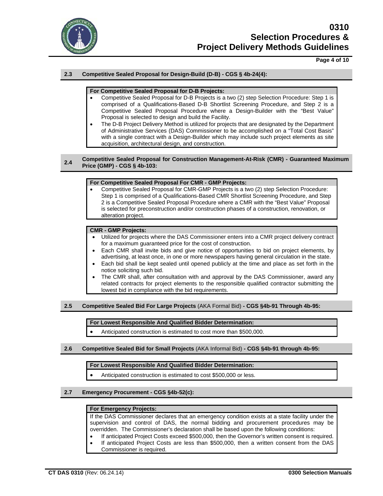

# **Page 4 of 10**

# **2.3 Competitive Sealed Proposal for Design-Build (D-B) - CGS § 4b-24(4):**

### **For Competitive Sealed Proposal for D-B Projects:**

- Competitive Sealed Proposal for D-B Projects is a two (2) step Selection Procedure: Step 1 is comprised of a Qualifications-Based D-B Shortlist Screening Procedure, and Step 2 is a Competitive Sealed Proposal Procedure where a Design-Builder with the "Best Value" Proposal is selected to design and build the Facility.
- The D-B Project Delivery Method is utilized for projects that are designated by the Department of Administrative Services (DAS) Commissioner to be accomplished on a "Total Cost Basis" with a single contract with a Design-Builder which may include such project elements as site acquisition, architectural design, and construction.

#### **2.4 Competitive Sealed Proposal for Construction Management-At-Risk (CMR) - Guaranteed Maximum Price (GMP) - CGS § 4b-103:**

#### **For Competitive Sealed Proposal For CMR - GMP Projects:**

• Competitive Sealed Proposal for CMR-GMP Projects is a two (2) step Selection Procedure: Step 1 is comprised of a Qualifications-Based CMR Shortlist Screening Procedure, and Step 2 is a Competitive Sealed Proposal Procedure where a CMR with the "Best Value" Proposal is selected for preconstruction and/or construction phases of a construction, renovation, or alteration project.

## **CMR - GMP Projects:**

- Utilized for projects where the DAS Commissioner enters into a CMR project delivery contract for a maximum guaranteed price for the cost of construction.
- Each CMR shall invite bids and give notice of opportunities to bid on project elements, by advertising, at least once, in one or more newspapers having general circulation in the state.
- Each bid shall be kept sealed until opened publicly at the time and place as set forth in the notice soliciting such bid.
- The CMR shall, after consultation with and approval by the DAS Commissioner, award any related contracts for project elements to the responsible qualified contractor submitting the lowest bid in compliance with the bid requirements.

#### **2.5 Competitive Sealed Bid For Large Projects** (AKA Formal Bid) **- CGS §4b-91 Through 4b-95:**

**For Lowest Responsible And Qualified Bidder Determination:**

• Anticipated construction is estimated to cost more than \$500,000.

# **2.6 Competitive Sealed Bid for Small Projects** (AKA Informal Bid) **- CGS §4b-91 through 4b-95:**

#### **For Lowest Responsible And Qualified Bidder Determination:**

- Anticipated construction is estimated to cost \$500,000 or less.
- **2.7 Emergency Procurement - CGS §4b-52(c):**

#### **For Emergency Projects:**

If the DAS Commissioner declares that an emergency condition exists at a state facility under the supervision and control of DAS, the normal bidding and procurement procedures may be overridden. The Commissioner's declaration shall be based upon the following conditions:

- If anticipated Project Costs exceed \$500,000, then the Governor's written consent is required.
- If anticipated Project Costs are less than \$500,000, then a written consent from the DAS Commissioner is required.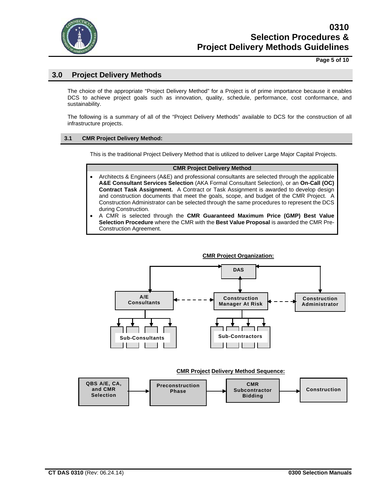

# **Page 5 of 10**

# **3.0 Project Delivery Methods**

The choice of the appropriate "Project Delivery Method" for a Project is of prime importance because it enables DCS to achieve project goals such as innovation, quality, schedule, performance, cost conformance, and sustainability.

The following is a summary of all of the "Project Delivery Methods" available to DCS for the construction of all infrastructure projects.

# **3.1 CMR Project Delivery Method:**

This is the traditional Project Delivery Method that is utilized to deliver Large Major Capital Projects.

#### **CMR Project Delivery Method**

- Architects & Engineers (A&E) and professional consultants are selected through the applicable **A&E Consultant Services Selection** (AKA Formal Consultant Selection), or an **On-Call (OC) Contract Task Assignment.** A Contract or Task Assignment is awarded to develop design and construction documents that meet the goals, scope, and budget of the CMR Project. A Construction Administrator can be selected through the same procedures to represent the DCS during Construction.
- A CMR is selected through the **CMR Guaranteed Maximum Price (GMP) Best Value Selection Procedure** where the CMR with the **Best Value Proposal** is awarded the CMR Pre-Construction Agreement.



#### **CMR Project Delivery Method Sequence:**

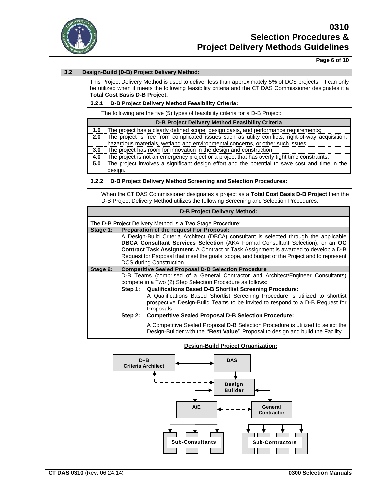

### **Page 6 of 10**

# **3.2 Design-Build (D-B) Project Delivery Method:**

This Project Delivery Method is used to deliver less than approximately 5% of DCS projects. It can only be utilized when it meets the following feasibility criteria and the CT DAS Commissioner designates it a **Total Cost Basis D-B Project.** 

#### **3.2.1 D-B Project Delivery Method Feasibility Criteria:**

The following are the five (5) types of feasibility criteria for a D-B Project:

| D-B Project Delivery Method Feasibility Criteria |                                                                                                      |  |  |  |
|--------------------------------------------------|------------------------------------------------------------------------------------------------------|--|--|--|
|                                                  | 1.0 The project has a clearly defined scope, design basis, and performance requirements;             |  |  |  |
|                                                  | 2.0 The project is free from complicated issues such as utility conflicts, right-of-way acquisition, |  |  |  |
|                                                  | hazardous materials, wetland and environmental concerns, or other such issues;                       |  |  |  |
|                                                  | 3.0 The project has room for innovation in the design and construction;                              |  |  |  |
| 4.0 I                                            | The project is not an emergency project or a project that has overly tight time constraints;         |  |  |  |
|                                                  | 5.0 The project involves a significant design effort and the potential to save cost and time in the  |  |  |  |
|                                                  | desian.                                                                                              |  |  |  |

#### **3.2.2 D-B Project Delivery Method Screening and Selection Procedures:**

When the CT DAS Commissioner designates a project as a **Total Cost Basis D-B Project** then the D-B Project Delivery Method utilizes the following Screening and Selection Procedures.

| <b>D-B Project Delivery Method:</b>                       |                                                                                                                                        |                                                                                                                                                                    |  |  |  |  |  |
|-----------------------------------------------------------|----------------------------------------------------------------------------------------------------------------------------------------|--------------------------------------------------------------------------------------------------------------------------------------------------------------------|--|--|--|--|--|
| The D-B Project Delivery Method is a Two Stage Procedure: |                                                                                                                                        |                                                                                                                                                                    |  |  |  |  |  |
| Stage 1:                                                  | Preparation of the request For Proposal:                                                                                               |                                                                                                                                                                    |  |  |  |  |  |
|                                                           |                                                                                                                                        | A Design-Build Criteria Architect (DBCA) consultant is selected through the applicable                                                                             |  |  |  |  |  |
|                                                           |                                                                                                                                        | <b>DBCA Consultant Services Selection</b> (AKA Formal Consultant Selection), or an OC                                                                              |  |  |  |  |  |
|                                                           |                                                                                                                                        | <b>Contract Task Assignment.</b> A Contract or Task Assignment is awarded to develop a D-B                                                                         |  |  |  |  |  |
|                                                           | Request for Proposal that meet the goals, scope, and budget of the Project and to represent                                            |                                                                                                                                                                    |  |  |  |  |  |
|                                                           | DCS during Construction.                                                                                                               |                                                                                                                                                                    |  |  |  |  |  |
| Stage 2:                                                  | <b>Competitive Sealed Proposal D-B Selection Procedure</b>                                                                             |                                                                                                                                                                    |  |  |  |  |  |
|                                                           | D-B Teams (comprised of a General Contractor and Architect/Engineer Consultants)                                                       |                                                                                                                                                                    |  |  |  |  |  |
|                                                           | compete in a Two (2) Step Selection Procedure as follows:<br><b>Qualifications Based D-B Shortlist Screening Procedure:</b><br>Step 1: |                                                                                                                                                                    |  |  |  |  |  |
|                                                           |                                                                                                                                        |                                                                                                                                                                    |  |  |  |  |  |
|                                                           |                                                                                                                                        | A Qualifications Based Shortlist Screening Procedure is utilized to shortlist                                                                                      |  |  |  |  |  |
|                                                           |                                                                                                                                        | prospective Design-Build Teams to be invited to respond to a D-B Request for                                                                                       |  |  |  |  |  |
|                                                           |                                                                                                                                        | Proposals.                                                                                                                                                         |  |  |  |  |  |
|                                                           | Step 2:                                                                                                                                | <b>Competitive Sealed Proposal D-B Selection Procedure:</b>                                                                                                        |  |  |  |  |  |
|                                                           |                                                                                                                                        | A Competitive Sealed Proposal D-B Selection Procedure is utilized to select the<br>Design-Builder with the "Best Value" Proposal to design and build the Facility. |  |  |  |  |  |



#### **Design-Build Project Organization:**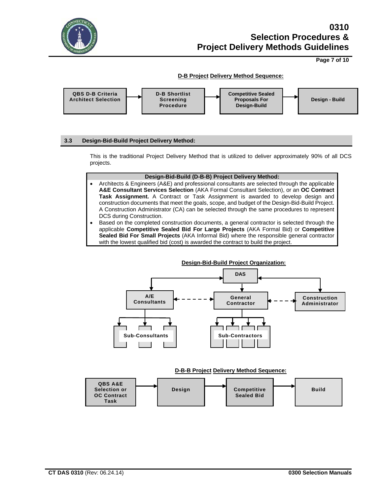

**Page 7 of 10**

# **D-B Project Delivery Method Sequence:**



# **3.3 Design-Bid-Build Project Delivery Method:**

This is the traditional Project Delivery Method that is utilized to deliver approximately 90% of all DCS projects.

#### **Design-Bid-Build (D-B-B) Project Delivery Method:**

- Architects & Engineers (A&E) and professional consultants are selected through the applicable **A&E Consultant Services Selection** (AKA Formal Consultant Selection), or an **OC Contract Task Assignment.** A Contract or Task Assignment is awarded to develop design and construction documents that meet the goals, scope, and budget of the Design-Bid-Build Project. A Construction Administrator (CA) can be selected through the same procedures to represent DCS during Construction.
- Based on the completed construction documents, a general contractor is selected through the applicable **Competitive Sealed Bid For Large Projects** (AKA Formal Bid) or **Competitive Sealed Bid For Small Projects** (AKA Informal Bid) where the responsible general contractor with the lowest qualified bid (cost) is awarded the contract to build the project.



# **D-B-B Project Delivery Method Sequence:**

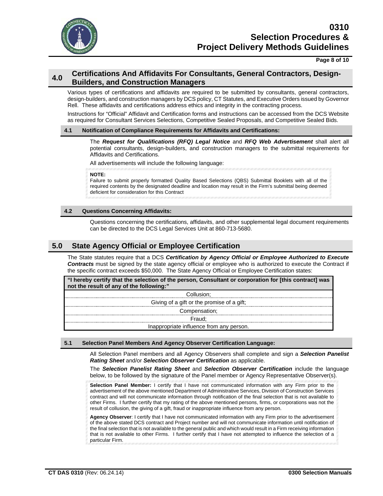

**Page 8 of 10**

# **4.0 Certifications And Affidavits For Consultants, General Contractors, Design-Builders, and Construction Managers**

Various types of certifications and affidavits are required to be submitted by consultants, general contractors, design-builders, and construction managers by DCS policy, CT Statutes, and Executive Orders issued by Governor Rell. These affidavits and certifications address ethics and integrity in the contracting process.

Instructions for "Official" Affidavit and Certification forms and instructions can be accessed from the DCS Website as required for Consultant Services Selections, Competitive Sealed Proposals, and Competitive Sealed Bids.

# **4.1 Notification of Compliance Requirements for Affidavits and Certifications:**

The *Request for Qualifications (RFQ) Legal Notice* and *RFQ Web Advertisement* shall alert all potential consultants, design-builders, and construction managers to the submittal requirements for Affidavits and Certifications.

All advertisements will include the following language:

**NOTE:**

Failure to submit properly formatted Quality Based Selections (QBS) Submittal Booklets with all of the required contents by the designated deadline and location may result in the Firm's submittal being deemed deficient for consideration for this Contract

# **4.2 Questions Concerning Affidavits:**

Questions concerning the certifications, affidavits, and other supplemental legal document requirements can be directed to the DCS Legal Services Unit at 860-713-5680.

# **5.0 State Agency Official or Employee Certification**

The State statutes require that a DCS *Certification by Agency Official or Employee Authorized to Execute Contracts* must be signed by the state agency official or employee who is authorized to execute the Contract if the specific contract exceeds \$50,000. The State Agency Official or Employee Certification states:

**"I hereby certify that the selection of the person, Consultant or corporation for [this contract] was not the result of any of the following:"**

| Collusion:                                 |
|--------------------------------------------|
| Giving of a gift or the promise of a gift; |
| Compensation;                              |
| Fraud:                                     |
| Inappropriate influence from any person.   |

#### **5.1 Selection Panel Members And Agency Observer Certification Language:**

All Selection Panel members and all Agency Observers shall complete and sign a *Selection Panelist Rating Sheet* and/or *Selection Observer Certification* as applicable.

The *Selection Panelist Rating Sheet* and *Selection Observer Certification* include the language below, to be followed by the signature of the Panel member or Agency Representative Observer(s).

**Selection Panel Member:** I certify that I have not communicated information with any Firm prior to the advertisement of the above mentioned Department of Administrative Services, Division of Construction Services contract and will not communicate information through notification of the final selection that is not available to other Firms. I further certify that my rating of the above mentioned persons, firms, or corporations was not the result of collusion, the giving of a gift, fraud or inappropriate influence from any person.

**Agency Observer**: I certify that I have not communicated information with any Firm prior to the advertisement of the above stated DCS contract and Project number and will not communicate information until notification of the final selection that is not available to the general public and which would result in a Firm receiving information that is not available to other Firms. I further certify that I have not attempted to influence the selection of a particular Firm.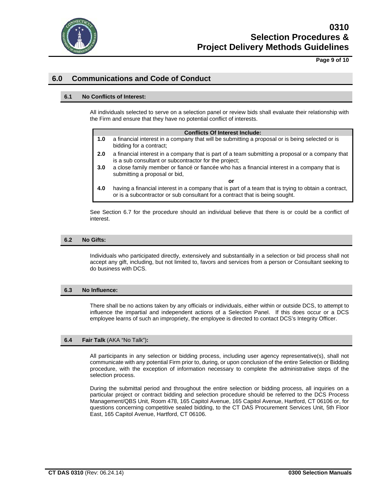

**Page 9 of 10**

# **6.0 Communications and Code of Conduct**

# **6.1 No Conflicts of Interest:**

All individuals selected to serve on a selection panel or review bids shall evaluate their relationship with the Firm and ensure that they have no potential conflict of interests.

|  | <b>Conflicts Of Interest Include:</b> |  |
|--|---------------------------------------|--|
|  |                                       |  |

- **1.0** a financial interest in a company that will be submitting a proposal or is being selected or is bidding for a contract;
- **2.0** a financial interest in a company that is part of a team submitting a proposal or a company that is a sub consultant or subcontractor for the project;
- **3.0** a close family member or fiancé or fiancée who has a financial interest in a company that is submitting a proposal or bid,
- **or 4.0** having a financial interest in a company that is part of a team that is trying to obtain a contract, or is a subcontractor or sub consultant for a contract that is being sought.

See Section 6.7 for the procedure should an individual believe that there is or could be a conflict of interest.

#### **6.2 No Gifts:**

Individuals who participated directly, extensively and substantially in a selection or bid process shall not accept any gift, including, but not limited to, favors and services from a person or Consultant seeking to do business with DCS.

#### **6.3 No Influence:**

There shall be no actions taken by any officials or individuals, either within or outside DCS, to attempt to influence the impartial and independent actions of a Selection Panel. If this does occur or a DCS employee learns of such an impropriety, the employee is directed to contact DCS's Integrity Officer.

#### **6.4 Fair Talk** (AKA "No Talk")**:**

All participants in any selection or bidding process, including user agency representative(s), shall not communicate with any potential Firm prior to, during, or upon conclusion of the entire Selection or Bidding procedure, with the exception of information necessary to complete the administrative steps of the selection process.

During the submittal period and throughout the entire selection or bidding process, all inquiries on a particular project or contract bidding and selection procedure should be referred to the DCS Process Management/QBS Unit, Room 478, 165 Capitol Avenue, 165 Capitol Avenue, Hartford, CT 06106 or, for questions concerning competitive sealed bidding, to the CT DAS Procurement Services Unit, 5th Floor East, 165 Capitol Avenue, Hartford, CT 06106.